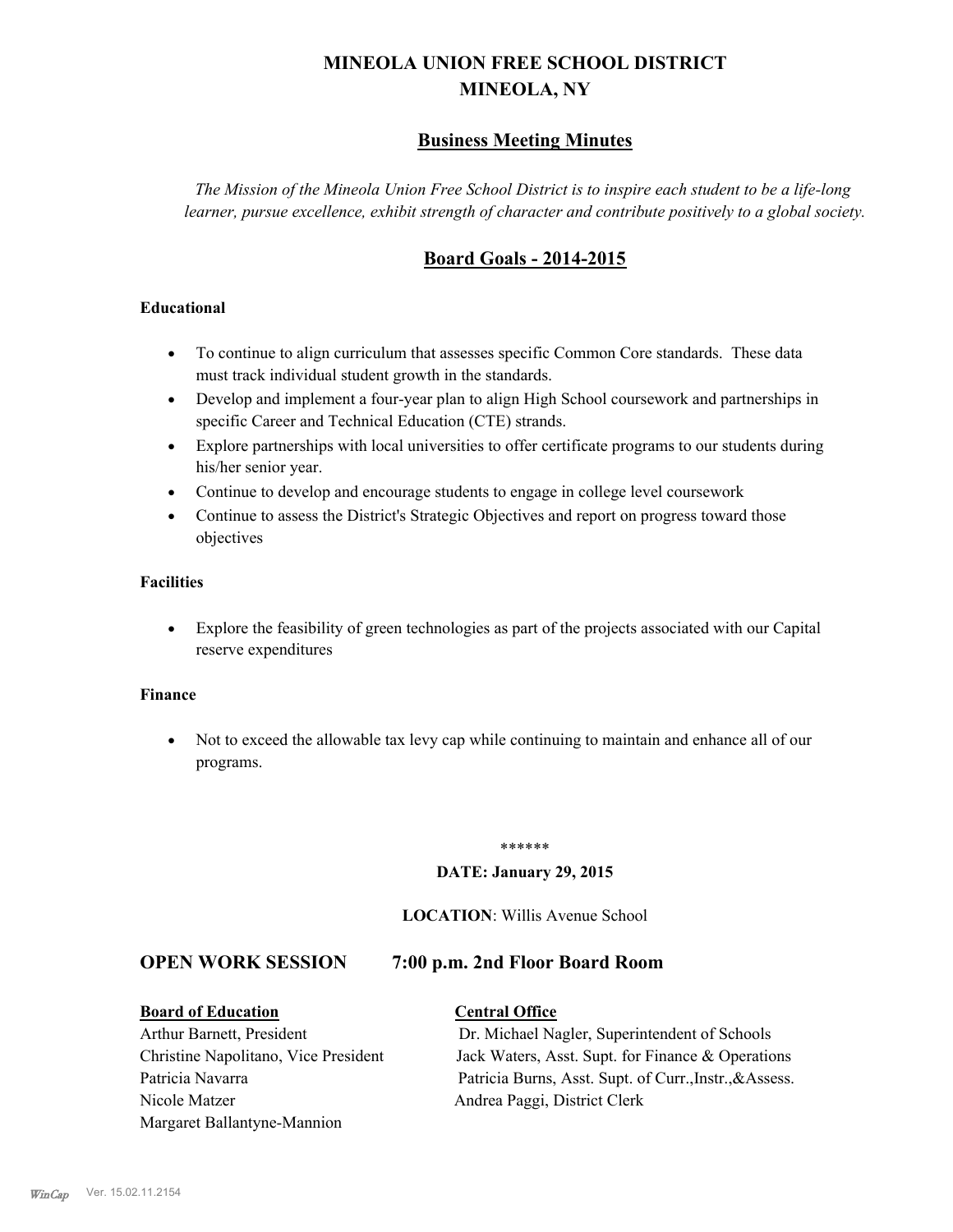# **MINEOLA UNION FREE SCHOOL DISTRICT MINEOLA, NY**

# **Business Meeting Minutes**

*The Mission of the Mineola Union Free School District is to inspire each student to be a life-long learner, pursue excellence, exhibit strength of character and contribute positively to a global society.*

# **Board Goals - 2014-2015**

#### **Educational**

- · To continue to align curriculum that assesses specific Common Core standards. These data must track individual student growth in the standards.
- · Develop and implement a four-year plan to align High School coursework and partnerships in specific Career and Technical Education (CTE) strands.
- · Explore partnerships with local universities to offer certificate programs to our students during his/her senior year.
- · Continue to develop and encourage students to engage in college level coursework
- Continue to assess the District's Strategic Objectives and report on progress toward those objectives

#### **Facilities**

· Explore the feasibility of green technologies as part of the projects associated with our Capital reserve expenditures

#### **Finance**

· Not to exceed the allowable tax levy cap while continuing to maintain and enhance all of our programs.

#### \*\*\*\*\*\*

#### **DATE: January 29, 2015**

#### **LOCATION**: Willis Avenue School

#### **OPEN WORK SESSION 7:00 p.m. 2nd Floor Board Room**

# **Board of Education Central Office**

# Nicole Matzer Andrea Paggi, District Clerk Margaret Ballantyne-Mannion

Arthur Barnett, President Dr. Michael Nagler, Superintendent of Schools Christine Napolitano, Vice President Jack Waters, Asst. Supt. for Finance & Operations Patricia Navarra Patricia Burns, Asst. Supt. of Curr., Instr., & Assess.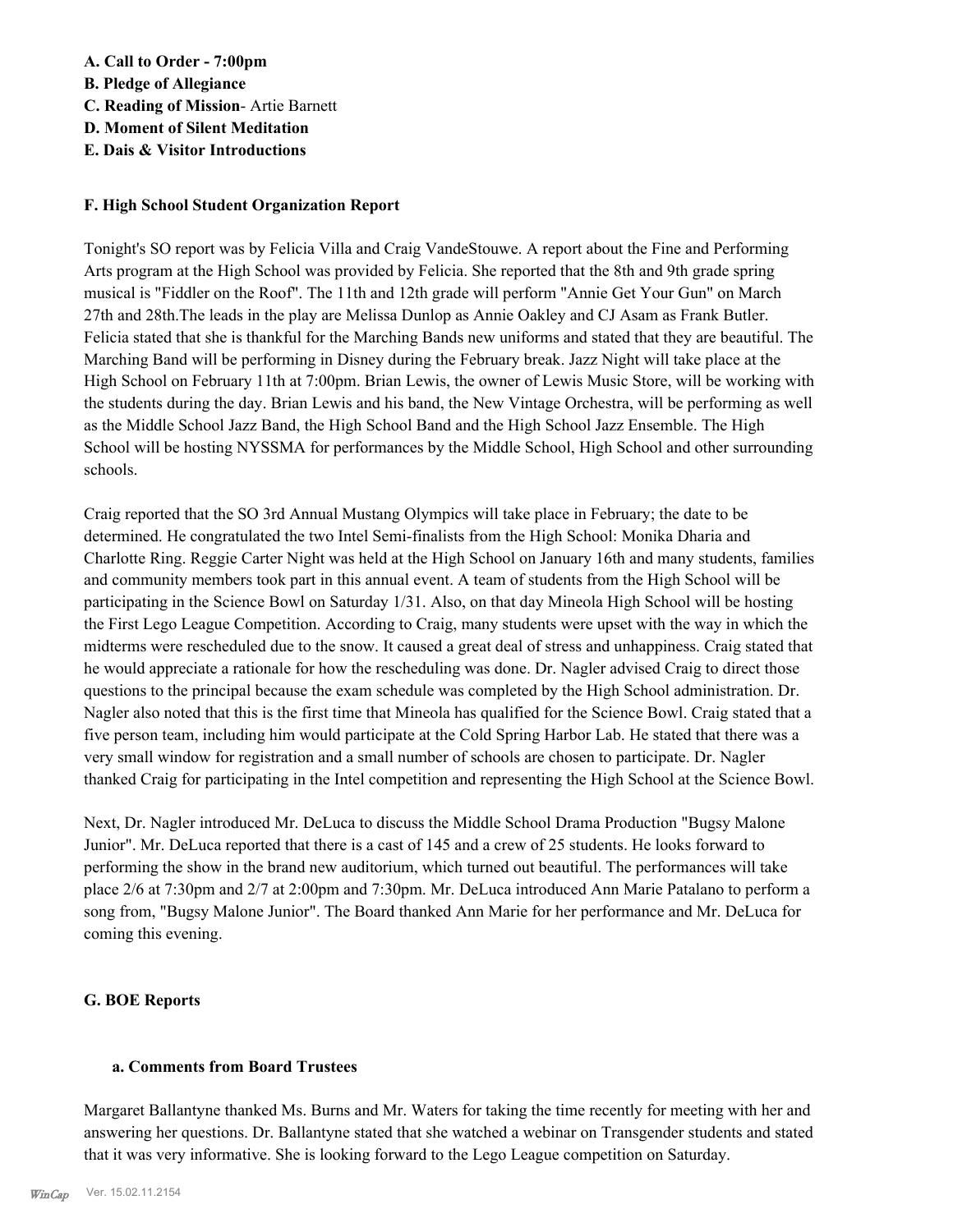#### **A. Call to Order - 7:00pm**

- **B. Pledge of Allegiance**
- **C. Reading of Mission** Artie Barnett
- **D. Moment of Silent Meditation**
- **E. Dais & Visitor Introductions**

#### **F. High School Student Organization Report**

Tonight's SO report was by Felicia Villa and Craig VandeStouwe. A report about the Fine and Performing Arts program at the High School was provided by Felicia. She reported that the 8th and 9th grade spring musical is "Fiddler on the Roof". The 11th and 12th grade will perform "Annie Get Your Gun" on March 27th and 28th.The leads in the play are Melissa Dunlop as Annie Oakley and CJ Asam as Frank Butler. Felicia stated that she is thankful for the Marching Bands new uniforms and stated that they are beautiful. The Marching Band will be performing in Disney during the February break. Jazz Night will take place at the High School on February 11th at 7:00pm. Brian Lewis, the owner of Lewis Music Store, will be working with the students during the day. Brian Lewis and his band, the New Vintage Orchestra, will be performing as well as the Middle School Jazz Band, the High School Band and the High School Jazz Ensemble. The High School will be hosting NYSSMA for performances by the Middle School, High School and other surrounding schools.

Craig reported that the SO 3rd Annual Mustang Olympics will take place in February; the date to be determined. He congratulated the two Intel Semi-finalists from the High School: Monika Dharia and Charlotte Ring. Reggie Carter Night was held at the High School on January 16th and many students, families and community members took part in this annual event. A team of students from the High School will be participating in the Science Bowl on Saturday 1/31. Also, on that day Mineola High School will be hosting the First Lego League Competition. According to Craig, many students were upset with the way in which the midterms were rescheduled due to the snow. It caused a great deal of stress and unhappiness. Craig stated that he would appreciate a rationale for how the rescheduling was done. Dr. Nagler advised Craig to direct those questions to the principal because the exam schedule was completed by the High School administration. Dr. Nagler also noted that this is the first time that Mineola has qualified for the Science Bowl. Craig stated that a five person team, including him would participate at the Cold Spring Harbor Lab. He stated that there was a very small window for registration and a small number of schools are chosen to participate. Dr. Nagler thanked Craig for participating in the Intel competition and representing the High School at the Science Bowl.

Next, Dr. Nagler introduced Mr. DeLuca to discuss the Middle School Drama Production "Bugsy Malone Junior". Mr. DeLuca reported that there is a cast of 145 and a crew of 25 students. He looks forward to performing the show in the brand new auditorium, which turned out beautiful. The performances will take place 2/6 at 7:30pm and 2/7 at 2:00pm and 7:30pm. Mr. DeLuca introduced Ann Marie Patalano to perform a song from, "Bugsy Malone Junior". The Board thanked Ann Marie for her performance and Mr. DeLuca for coming this evening.

## **G. BOE Reports**

#### **a. Comments from Board Trustees**

Margaret Ballantyne thanked Ms. Burns and Mr. Waters for taking the time recently for meeting with her and answering her questions. Dr. Ballantyne stated that she watched a webinar on Transgender students and stated that it was very informative. She is looking forward to the Lego League competition on Saturday.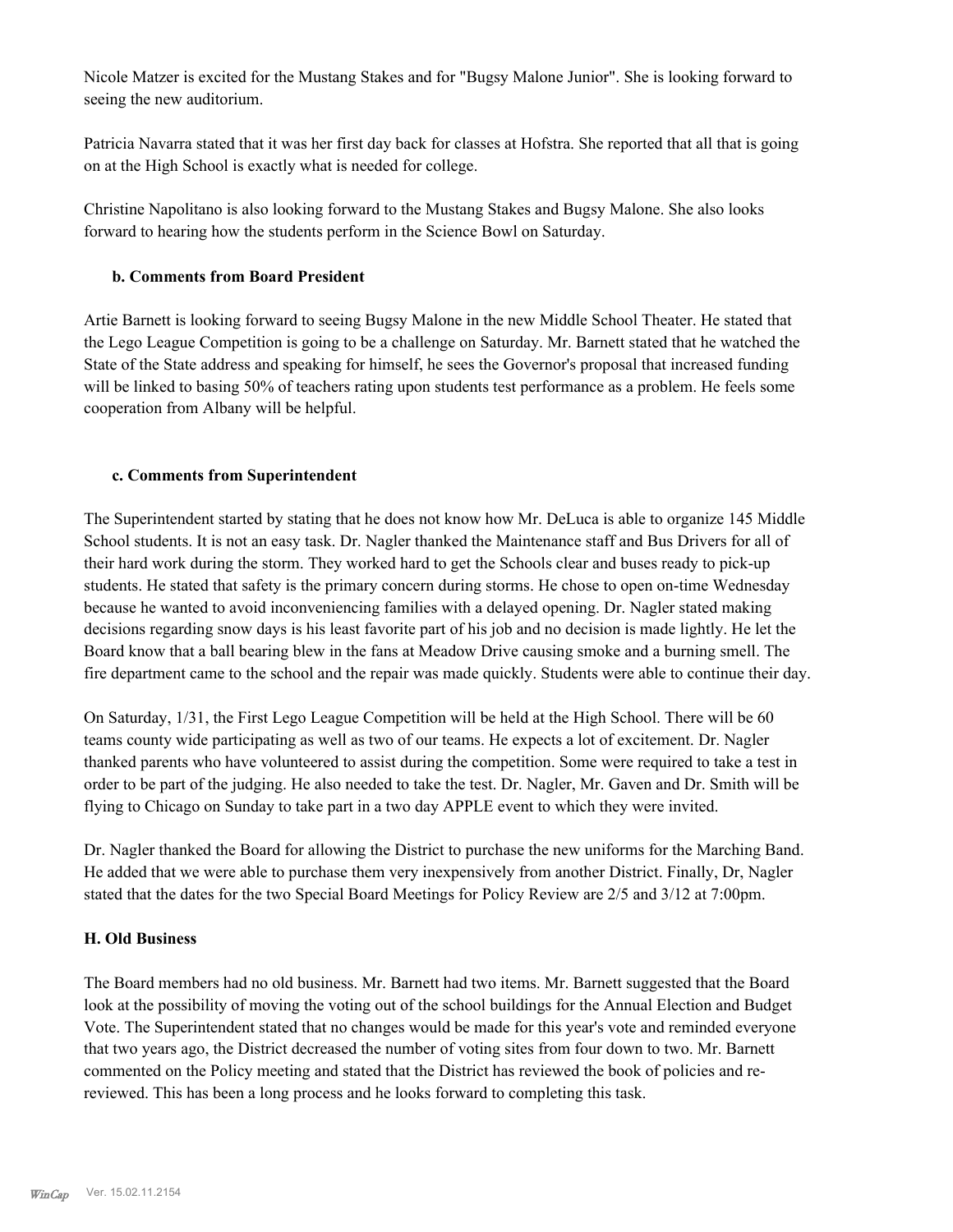Nicole Matzer is excited for the Mustang Stakes and for "Bugsy Malone Junior". She is looking forward to seeing the new auditorium.

Patricia Navarra stated that it was her first day back for classes at Hofstra. She reported that all that is going on at the High School is exactly what is needed for college.

Christine Napolitano is also looking forward to the Mustang Stakes and Bugsy Malone. She also looks forward to hearing how the students perform in the Science Bowl on Saturday.

#### **b. Comments from Board President**

Artie Barnett is looking forward to seeing Bugsy Malone in the new Middle School Theater. He stated that the Lego League Competition is going to be a challenge on Saturday. Mr. Barnett stated that he watched the State of the State address and speaking for himself, he sees the Governor's proposal that increased funding will be linked to basing 50% of teachers rating upon students test performance as a problem. He feels some cooperation from Albany will be helpful.

#### **c. Comments from Superintendent**

The Superintendent started by stating that he does not know how Mr. DeLuca is able to organize 145 Middle School students. It is not an easy task. Dr. Nagler thanked the Maintenance staff and Bus Drivers for all of their hard work during the storm. They worked hard to get the Schools clear and buses ready to pick-up students. He stated that safety is the primary concern during storms. He chose to open on-time Wednesday because he wanted to avoid inconveniencing families with a delayed opening. Dr. Nagler stated making decisions regarding snow days is his least favorite part of his job and no decision is made lightly. He let the Board know that a ball bearing blew in the fans at Meadow Drive causing smoke and a burning smell. The fire department came to the school and the repair was made quickly. Students were able to continue their day.

On Saturday, 1/31, the First Lego League Competition will be held at the High School. There will be 60 teams county wide participating as well as two of our teams. He expects a lot of excitement. Dr. Nagler thanked parents who have volunteered to assist during the competition. Some were required to take a test in order to be part of the judging. He also needed to take the test. Dr. Nagler, Mr. Gaven and Dr. Smith will be flying to Chicago on Sunday to take part in a two day APPLE event to which they were invited.

Dr. Nagler thanked the Board for allowing the District to purchase the new uniforms for the Marching Band. He added that we were able to purchase them very inexpensively from another District. Finally, Dr, Nagler stated that the dates for the two Special Board Meetings for Policy Review are 2/5 and 3/12 at 7:00pm.

#### **H. Old Business**

The Board members had no old business. Mr. Barnett had two items. Mr. Barnett suggested that the Board look at the possibility of moving the voting out of the school buildings for the Annual Election and Budget Vote. The Superintendent stated that no changes would be made for this year's vote and reminded everyone that two years ago, the District decreased the number of voting sites from four down to two. Mr. Barnett commented on the Policy meeting and stated that the District has reviewed the book of policies and rereviewed. This has been a long process and he looks forward to completing this task.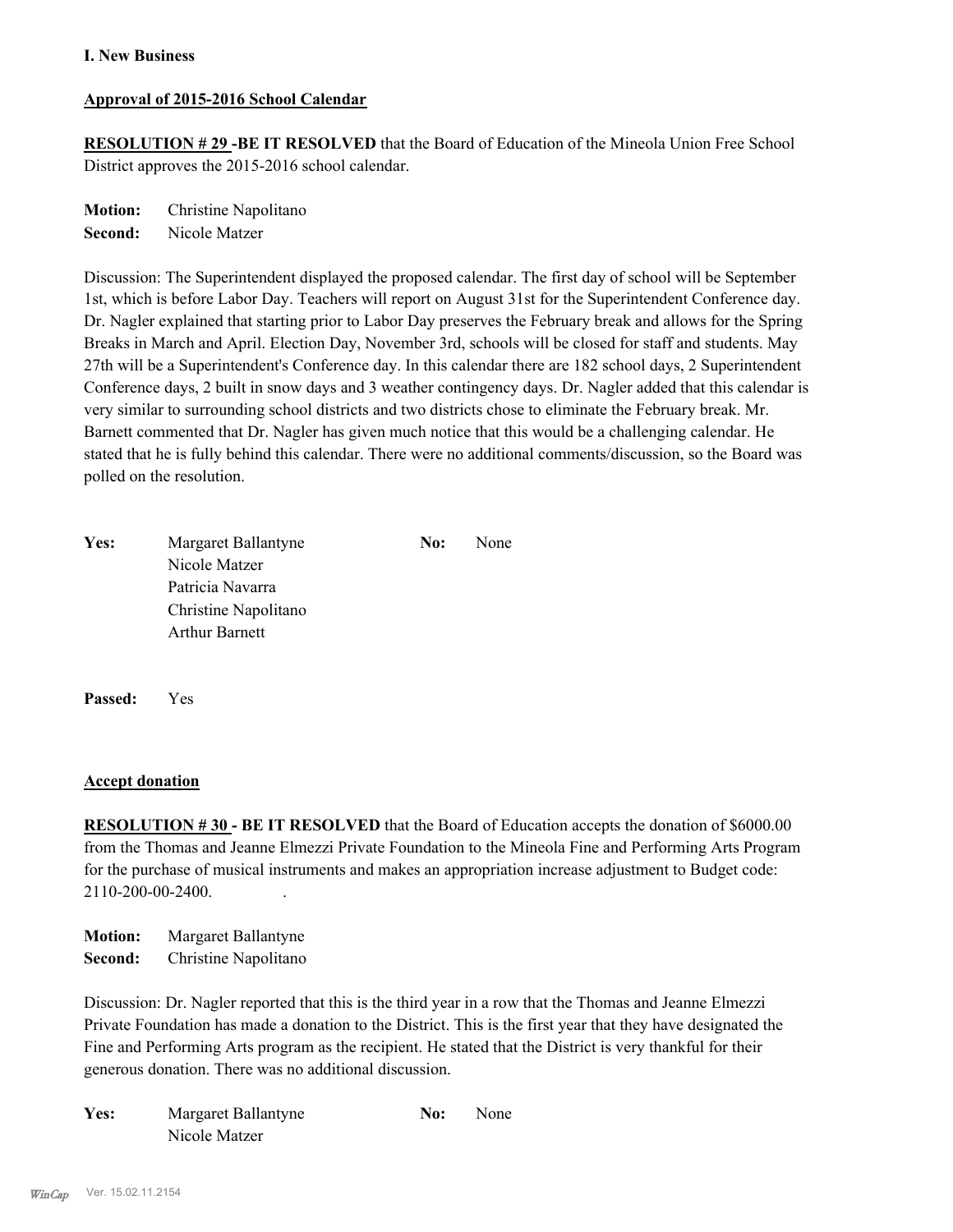#### **Approval of 2015-2016 School Calendar**

**RESOLUTION # 29 -BE IT RESOLVED** that the Board of Education of the Mineola Union Free School District approves the 2015-2016 school calendar.

**Motion:** Christine Napolitano **Second:** Nicole Matzer

Discussion: The Superintendent displayed the proposed calendar. The first day of school will be September 1st, which is before Labor Day. Teachers will report on August 31st for the Superintendent Conference day. Dr. Nagler explained that starting prior to Labor Day preserves the February break and allows for the Spring Breaks in March and April. Election Day, November 3rd, schools will be closed for staff and students. May 27th will be a Superintendent's Conference day. In this calendar there are 182 school days, 2 Superintendent Conference days, 2 built in snow days and 3 weather contingency days. Dr. Nagler added that this calendar is very similar to surrounding school districts and two districts chose to eliminate the February break. Mr. Barnett commented that Dr. Nagler has given much notice that this would be a challenging calendar. He stated that he is fully behind this calendar. There were no additional comments/discussion, so the Board was polled on the resolution.

| Yes: | Margaret Ballantyne   | No: | None |
|------|-----------------------|-----|------|
|      | Nicole Matzer         |     |      |
|      | Patricia Navarra      |     |      |
|      | Christine Napolitano  |     |      |
|      | <b>Arthur Barnett</b> |     |      |
|      |                       |     |      |
|      |                       |     |      |

**Passed:** Yes

#### **Accept donation**

**RESOLUTION #30 - BE IT RESOLVED** that the Board of Education accepts the donation of \$6000.00 from the Thomas and Jeanne Elmezzi Private Foundation to the Mineola Fine and Performing Arts Program for the purchase of musical instruments and makes an appropriation increase adjustment to Budget code: 2110-200-00-2400. .

**Motion:** Margaret Ballantyne **Second:** Christine Napolitano

Discussion: Dr. Nagler reported that this is the third year in a row that the Thomas and Jeanne Elmezzi Private Foundation has made a donation to the District. This is the first year that they have designated the Fine and Performing Arts program as the recipient. He stated that the District is very thankful for their generous donation. There was no additional discussion.

| Yes: | Margaret Ballantyne | No: | <b>None</b> |
|------|---------------------|-----|-------------|
|      | Nicole Matzer       |     |             |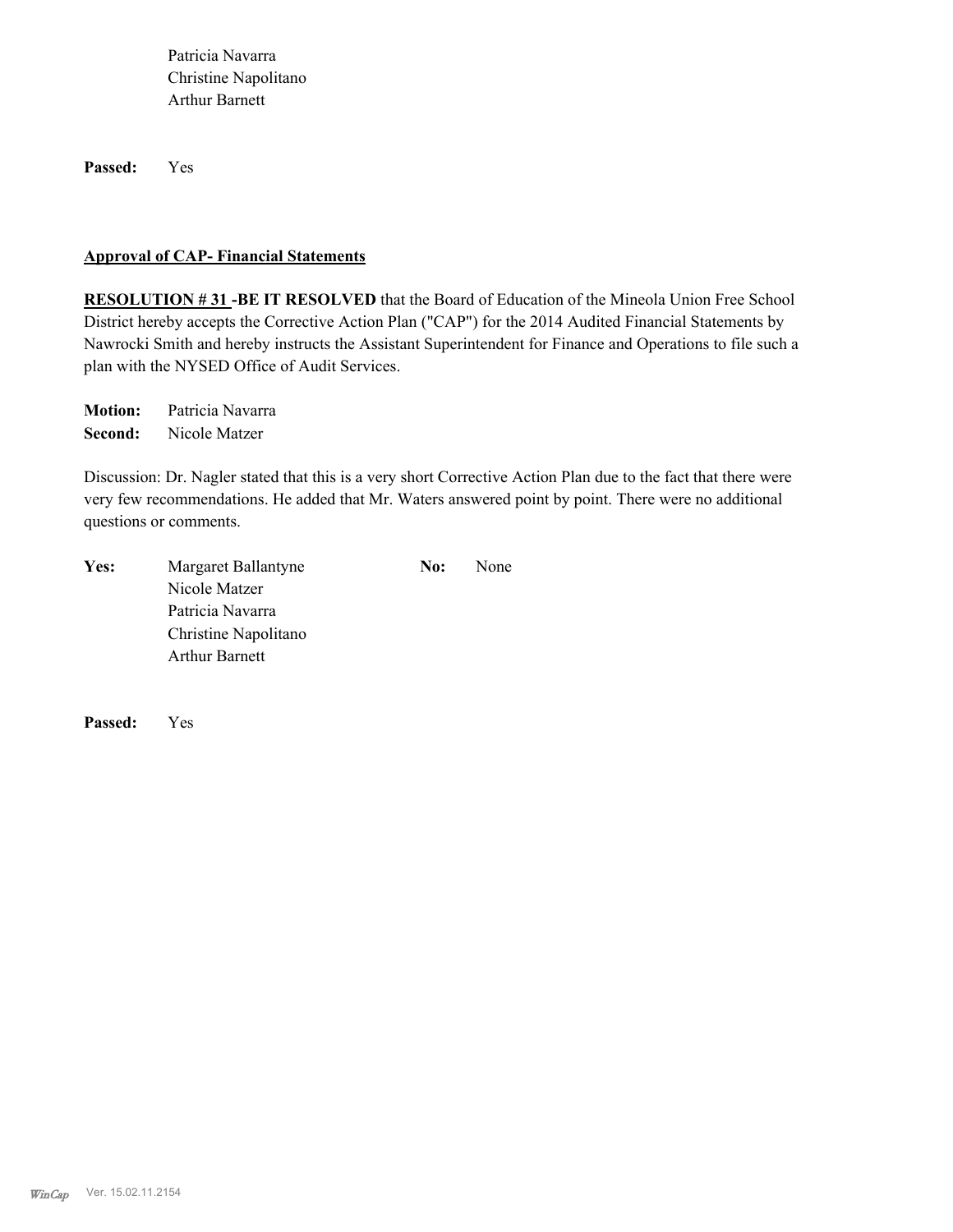Patricia Navarra Christine Napolitano Arthur Barnett

**Passed:** Yes

#### **Approval of CAP- Financial Statements**

**RESOLUTION # 31 -BE IT RESOLVED** that the Board of Education of the Mineola Union Free School District hereby accepts the Corrective Action Plan ("CAP") for the 2014 Audited Financial Statements by Nawrocki Smith and hereby instructs the Assistant Superintendent for Finance and Operations to file such a plan with the NYSED Office of Audit Services.

**Motion:** Patricia Navarra **Second:** Nicole Matzer

Discussion: Dr. Nagler stated that this is a very short Corrective Action Plan due to the fact that there were very few recommendations. He added that Mr. Waters answered point by point. There were no additional questions or comments.

| Yes: | Margaret Ballantyne   | No: | None |
|------|-----------------------|-----|------|
|      | Nicole Matzer         |     |      |
|      | Patricia Navarra      |     |      |
|      | Christine Napolitano  |     |      |
|      | <b>Arthur Barnett</b> |     |      |
|      |                       |     |      |

**Passed:** Yes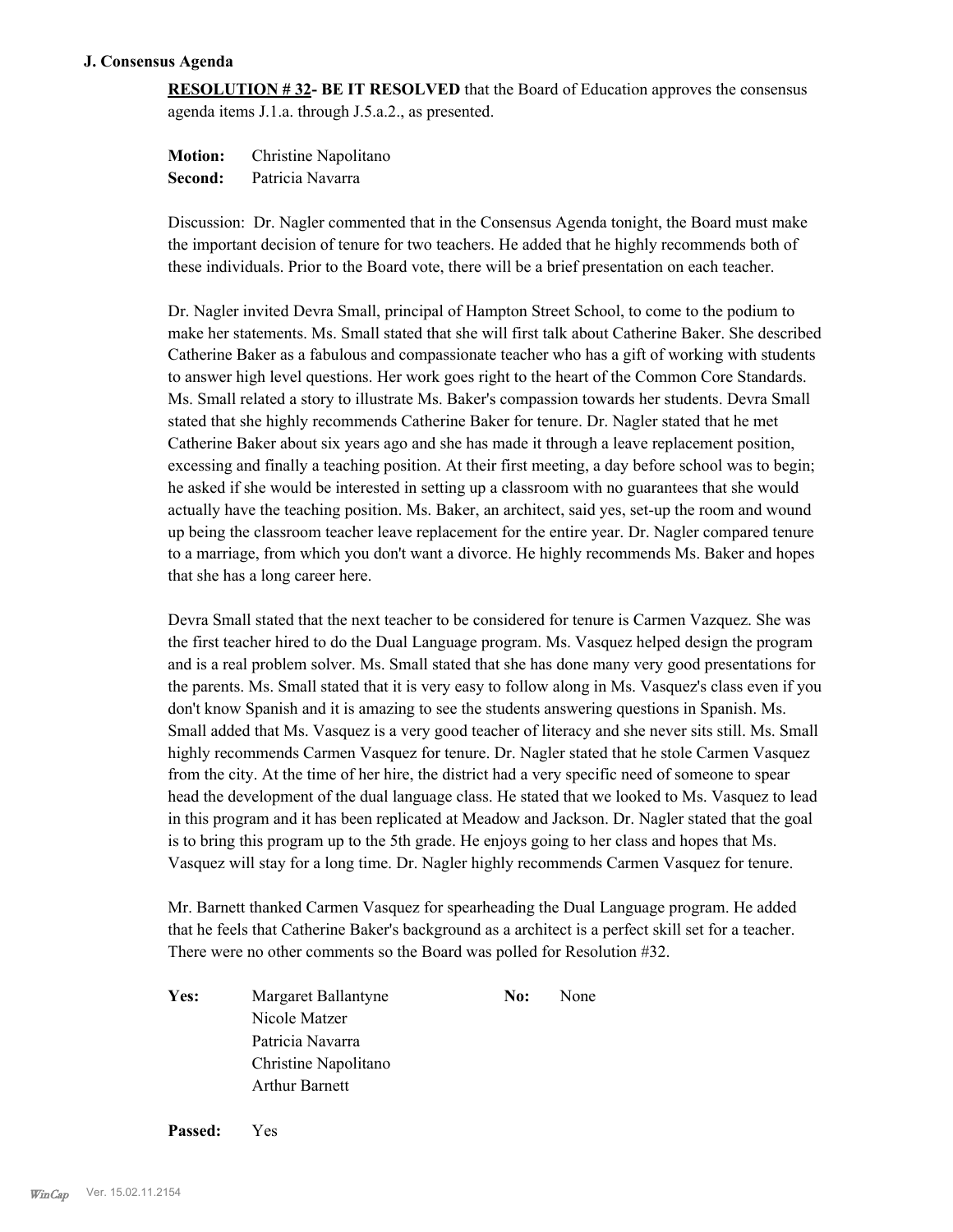#### **J. Consensus Agenda**

**RESOLUTION # 32- BE IT RESOLVED** that the Board of Education approves the consensus agenda items J.1.a. through J.5.a.2., as presented.

**Motion:** Christine Napolitano **Second:** Patricia Navarra

Discussion: Dr. Nagler commented that in the Consensus Agenda tonight, the Board must make the important decision of tenure for two teachers. He added that he highly recommends both of these individuals. Prior to the Board vote, there will be a brief presentation on each teacher.

Dr. Nagler invited Devra Small, principal of Hampton Street School, to come to the podium to make her statements. Ms. Small stated that she will first talk about Catherine Baker. She described Catherine Baker as a fabulous and compassionate teacher who has a gift of working with students to answer high level questions. Her work goes right to the heart of the Common Core Standards. Ms. Small related a story to illustrate Ms. Baker's compassion towards her students. Devra Small stated that she highly recommends Catherine Baker for tenure. Dr. Nagler stated that he met Catherine Baker about six years ago and she has made it through a leave replacement position, excessing and finally a teaching position. At their first meeting, a day before school was to begin; he asked if she would be interested in setting up a classroom with no guarantees that she would actually have the teaching position. Ms. Baker, an architect, said yes, set-up the room and wound up being the classroom teacher leave replacement for the entire year. Dr. Nagler compared tenure to a marriage, from which you don't want a divorce. He highly recommends Ms. Baker and hopes that she has a long career here.

Devra Small stated that the next teacher to be considered for tenure is Carmen Vazquez. She was the first teacher hired to do the Dual Language program. Ms. Vasquez helped design the program and is a real problem solver. Ms. Small stated that she has done many very good presentations for the parents. Ms. Small stated that it is very easy to follow along in Ms. Vasquez's class even if you don't know Spanish and it is amazing to see the students answering questions in Spanish. Ms. Small added that Ms. Vasquez is a very good teacher of literacy and she never sits still. Ms. Small highly recommends Carmen Vasquez for tenure. Dr. Nagler stated that he stole Carmen Vasquez from the city. At the time of her hire, the district had a very specific need of someone to spear head the development of the dual language class. He stated that we looked to Ms. Vasquez to lead in this program and it has been replicated at Meadow and Jackson. Dr. Nagler stated that the goal is to bring this program up to the 5th grade. He enjoys going to her class and hopes that Ms. Vasquez will stay for a long time. Dr. Nagler highly recommends Carmen Vasquez for tenure.

Mr. Barnett thanked Carmen Vasquez for spearheading the Dual Language program. He added that he feels that Catherine Baker's background as a architect is a perfect skill set for a teacher. There were no other comments so the Board was polled for Resolution #32.

Yes: Margaret Ballantyne **No:** None Nicole Matzer Patricia Navarra Christine Napolitano Arthur Barnett

**Passed:** Yes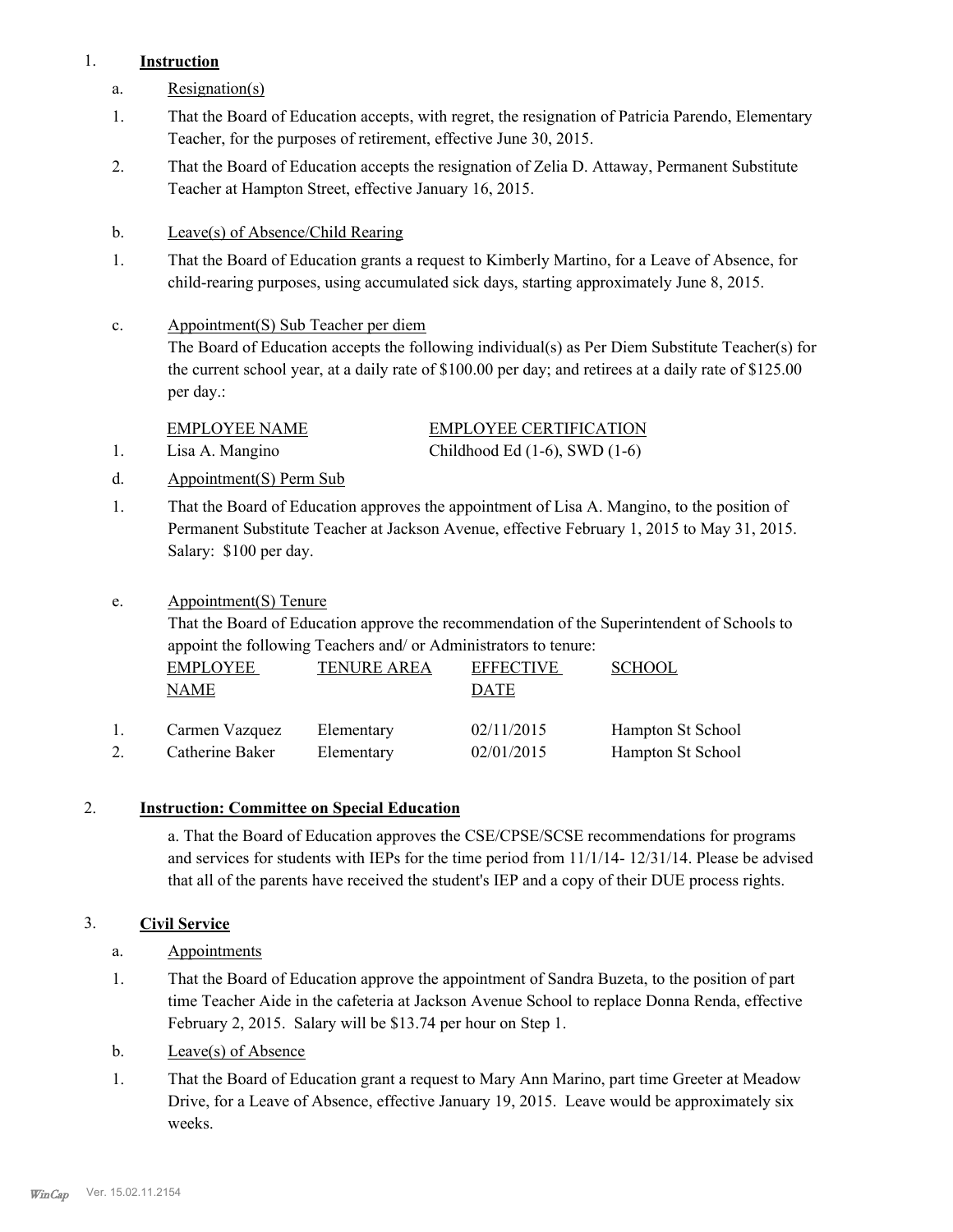#### 1. **Instruction**

- a. Resignation(s)
- That the Board of Education accepts, with regret, the resignation of Patricia Parendo, Elementary Teacher, for the purposes of retirement, effective June 30, 2015. 1.
- That the Board of Education accepts the resignation of Zelia D. Attaway, Permanent Substitute Teacher at Hampton Street, effective January 16, 2015. 2.
- b. Leave(s) of Absence/Child Rearing
- That the Board of Education grants a request to Kimberly Martino, for a Leave of Absence, for child-rearing purposes, using accumulated sick days, starting approximately June 8, 2015. 1.
- Appointment(S) Sub Teacher per diem c.

The Board of Education accepts the following individual(s) as Per Diem Substitute Teacher(s) for the current school year, at a daily rate of \$100.00 per day; and retirees at a daily rate of \$125.00 per day.:

EMPLOYEE NAME EMPLOYEE CERTIFICATION 1. Lisa A. Mangino Childhood Ed (1-6), SWD (1-6)

- d. Appointment(S) Perm Sub
- That the Board of Education approves the appointment of Lisa A. Mangino, to the position of Permanent Substitute Teacher at Jackson Avenue, effective February 1, 2015 to May 31, 2015. Salary: \$100 per day. 1.
- Appointment(S) Tenure e.

That the Board of Education approve the recommendation of the Superintendent of Schools to appoint the following Teachers and/ or Administrators to tenure:

| EMPLOYEE        | <b>TENURE AREA</b> | <b>EFFECTIVE</b> | <b>SCHOOL</b>     |
|-----------------|--------------------|------------------|-------------------|
| NAME            |                    | DATE             |                   |
| Carmen Vazquez  | Elementary         | 02/11/2015       | Hampton St School |
| Catherine Baker | Elementary         | 02/01/2015       | Hampton St School |

#### 2. **Instruction: Committee on Special Education**

a. That the Board of Education approves the CSE/CPSE/SCSE recommendations for programs and services for students with IEPs for the time period from 11/1/14- 12/31/14. Please be advised that all of the parents have received the student's IEP and a copy of their DUE process rights.

## 3. **Civil Service**

- a. Appointments
- That the Board of Education approve the appointment of Sandra Buzeta, to the position of part time Teacher Aide in the cafeteria at Jackson Avenue School to replace Donna Renda, effective February 2, 2015. Salary will be \$13.74 per hour on Step 1. 1.
- b. Leave(s) of Absence
- That the Board of Education grant a request to Mary Ann Marino, part time Greeter at Meadow Drive, for a Leave of Absence, effective January 19, 2015. Leave would be approximately six weeks. 1.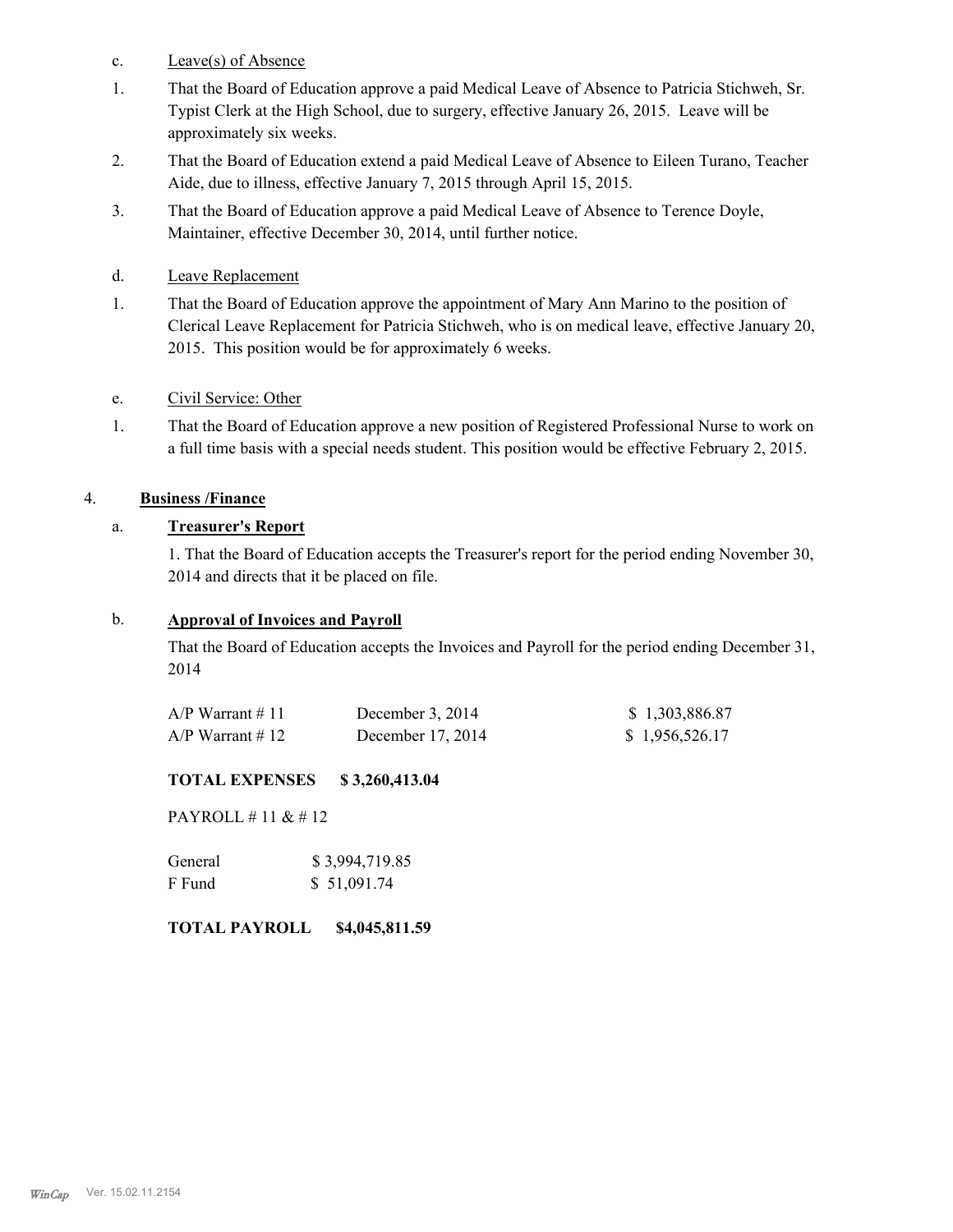- c. Leave(s) of Absence
- That the Board of Education approve a paid Medical Leave of Absence to Patricia Stichweh, Sr. Typist Clerk at the High School, due to surgery, effective January 26, 2015. Leave will be approximately six weeks. 1.
- That the Board of Education extend a paid Medical Leave of Absence to Eileen Turano, Teacher Aide, due to illness, effective January 7, 2015 through April 15, 2015. 2.
- That the Board of Education approve a paid Medical Leave of Absence to Terence Doyle, Maintainer, effective December 30, 2014, until further notice. 3.
- d. Leave Replacement
- That the Board of Education approve the appointment of Mary Ann Marino to the position of Clerical Leave Replacement for Patricia Stichweh, who is on medical leave, effective January 20, 2015. This position would be for approximately 6 weeks. 1.

#### e. Civil Service: Other

That the Board of Education approve a new position of Registered Professional Nurse to work on a full time basis with a special needs student. This position would be effective February 2, 2015. 1.

#### 4. **Business /Finance**

#### a. **Treasurer's Report**

1. That the Board of Education accepts the Treasurer's report for the period ending November 30, 2014 and directs that it be placed on file.

#### b. **Approval of Invoices and Payroll**

That the Board of Education accepts the Invoices and Payroll for the period ending December 31, 2014

| $A/P$ Warrant # 11 | December $3, 2014$ | \$1,303,886.87 |
|--------------------|--------------------|----------------|
| $A/P$ Warrant #12  | December 17, 2014  | \$1,956,526.17 |

#### **TOTAL EXPENSES \$ 3,260,413.04**

PAYROLL # 11 & # 12

| General | \$3,994,719.85 |
|---------|----------------|
| F Fund  | \$51,091.74    |

#### **TOTAL PAYROLL \$4,045,811.59**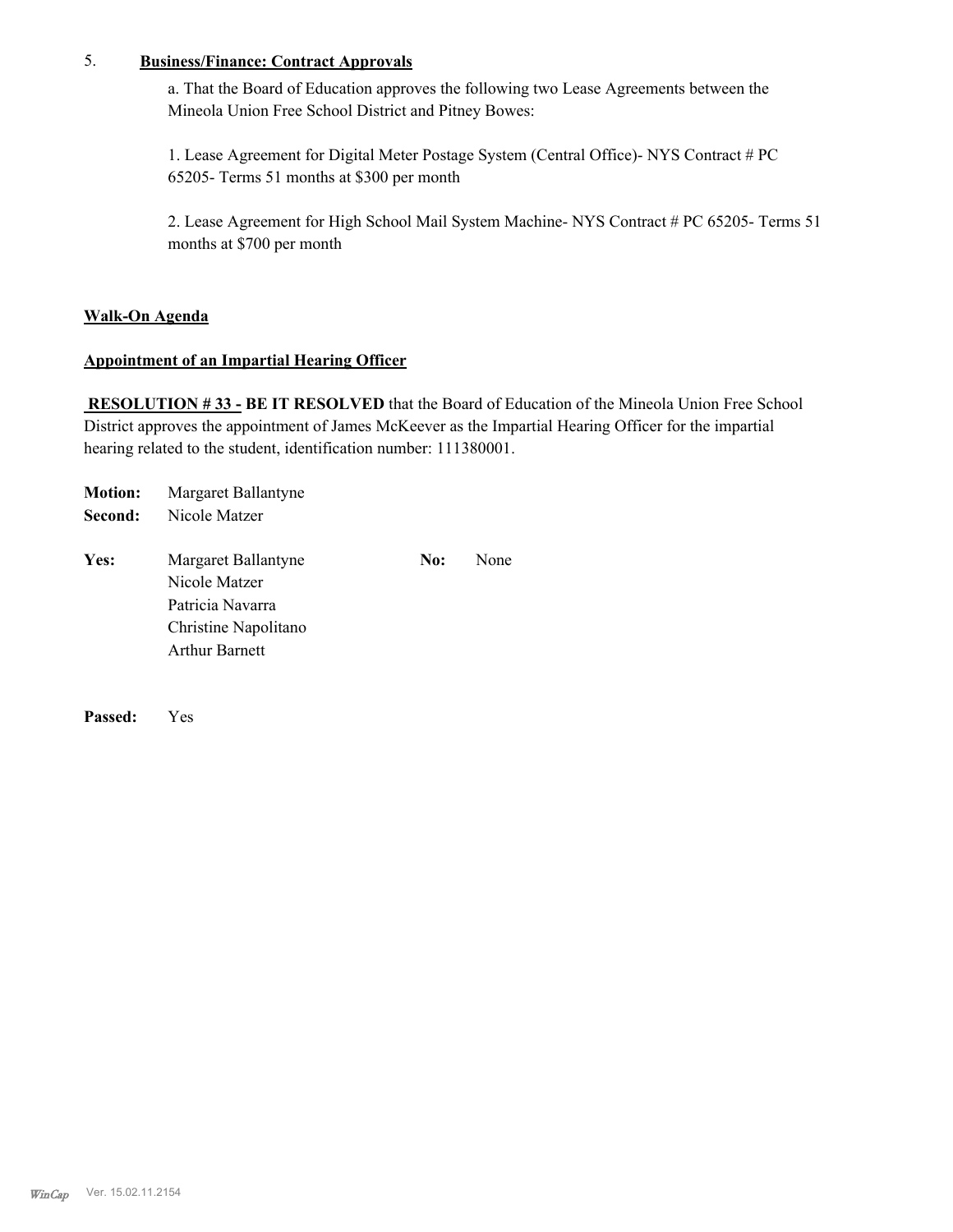#### 5. **Business/Finance: Contract Approvals**

a. That the Board of Education approves the following two Lease Agreements between the Mineola Union Free School District and Pitney Bowes:

1. Lease Agreement for Digital Meter Postage System (Central Office)- NYS Contract # PC 65205- Terms 51 months at \$300 per month

2. Lease Agreement for High School Mail System Machine- NYS Contract # PC 65205- Terms 51 months at \$700 per month

#### **Walk-On Agenda**

#### **Appointment of an Impartial Hearing Officer**

 **RESOLUTION # 33 - BE IT RESOLVED** that the Board of Education of the Mineola Union Free School District approves the appointment of James McKeever as the Impartial Hearing Officer for the impartial hearing related to the student, identification number: 111380001.

| <b>Motion:</b> | Margaret Ballantyne                                                                                       |     |      |
|----------------|-----------------------------------------------------------------------------------------------------------|-----|------|
| Second:        | Nicole Matzer                                                                                             |     |      |
| Yes:           | Margaret Ballantyne<br>Nicole Matzer<br>Patricia Navarra<br>Christine Napolitano<br><b>Arthur Barnett</b> | No: | None |

**Passed:** Yes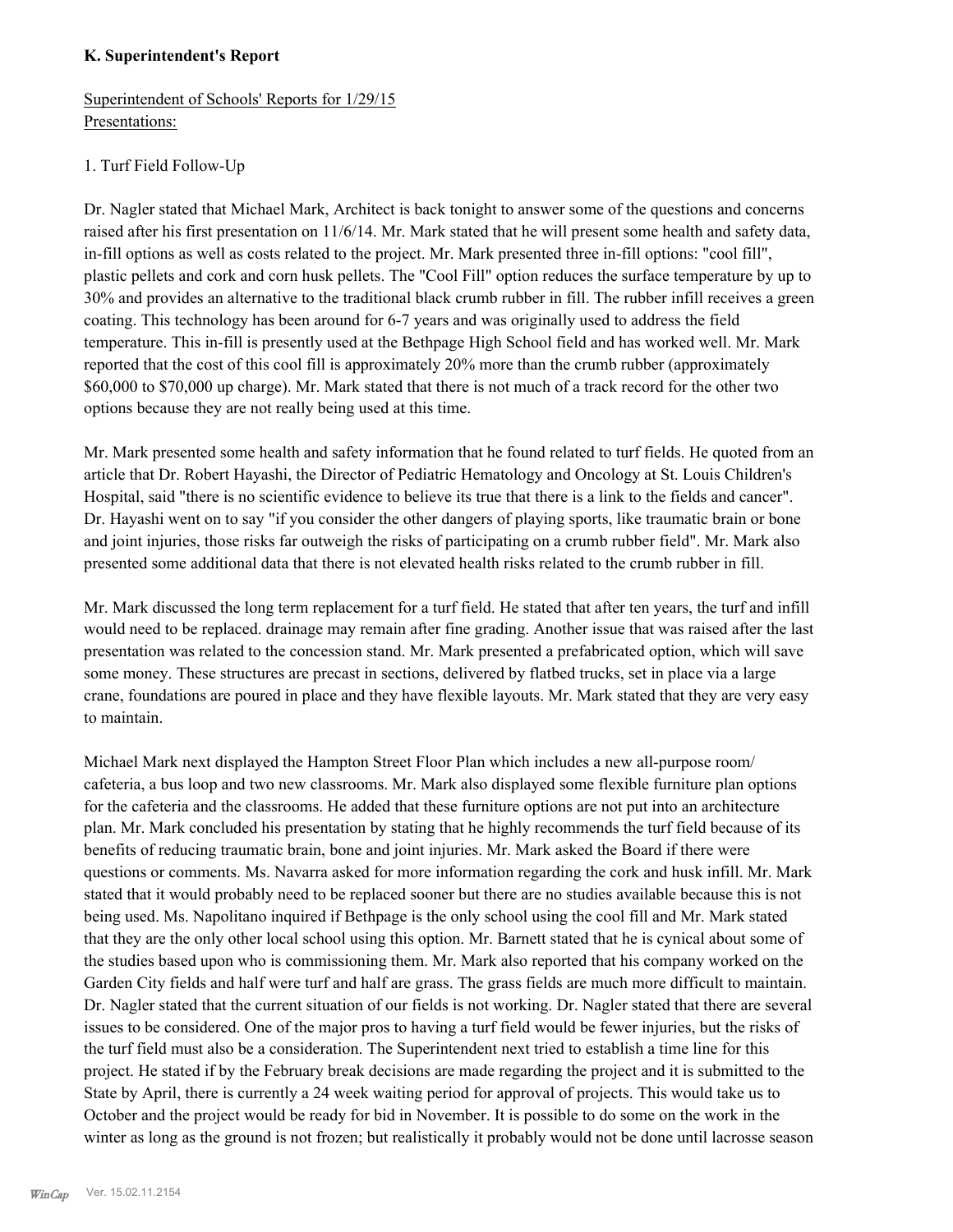#### **K. Superintendent's Report**

Superintendent of Schools' Reports for 1/29/15 Presentations:

#### 1. Turf Field Follow-Up

Dr. Nagler stated that Michael Mark, Architect is back tonight to answer some of the questions and concerns raised after his first presentation on 11/6/14. Mr. Mark stated that he will present some health and safety data, in-fill options as well as costs related to the project. Mr. Mark presented three in-fill options: "cool fill", plastic pellets and cork and corn husk pellets. The "Cool Fill" option reduces the surface temperature by up to 30% and provides an alternative to the traditional black crumb rubber in fill. The rubber infill receives a green coating. This technology has been around for 6-7 years and was originally used to address the field temperature. This in-fill is presently used at the Bethpage High School field and has worked well. Mr. Mark reported that the cost of this cool fill is approximately 20% more than the crumb rubber (approximately \$60,000 to \$70,000 up charge). Mr. Mark stated that there is not much of a track record for the other two options because they are not really being used at this time.

Mr. Mark presented some health and safety information that he found related to turf fields. He quoted from an article that Dr. Robert Hayashi, the Director of Pediatric Hematology and Oncology at St. Louis Children's Hospital, said "there is no scientific evidence to believe its true that there is a link to the fields and cancer". Dr. Hayashi went on to say "if you consider the other dangers of playing sports, like traumatic brain or bone and joint injuries, those risks far outweigh the risks of participating on a crumb rubber field". Mr. Mark also presented some additional data that there is not elevated health risks related to the crumb rubber in fill.

Mr. Mark discussed the long term replacement for a turf field. He stated that after ten years, the turf and infill would need to be replaced. drainage may remain after fine grading. Another issue that was raised after the last presentation was related to the concession stand. Mr. Mark presented a prefabricated option, which will save some money. These structures are precast in sections, delivered by flatbed trucks, set in place via a large crane, foundations are poured in place and they have flexible layouts. Mr. Mark stated that they are very easy to maintain.

Michael Mark next displayed the Hampton Street Floor Plan which includes a new all-purpose room/ cafeteria, a bus loop and two new classrooms. Mr. Mark also displayed some flexible furniture plan options for the cafeteria and the classrooms. He added that these furniture options are not put into an architecture plan. Mr. Mark concluded his presentation by stating that he highly recommends the turf field because of its benefits of reducing traumatic brain, bone and joint injuries. Mr. Mark asked the Board if there were questions or comments. Ms. Navarra asked for more information regarding the cork and husk infill. Mr. Mark stated that it would probably need to be replaced sooner but there are no studies available because this is not being used. Ms. Napolitano inquired if Bethpage is the only school using the cool fill and Mr. Mark stated that they are the only other local school using this option. Mr. Barnett stated that he is cynical about some of the studies based upon who is commissioning them. Mr. Mark also reported that his company worked on the Garden City fields and half were turf and half are grass. The grass fields are much more difficult to maintain. Dr. Nagler stated that the current situation of our fields is not working. Dr. Nagler stated that there are several issues to be considered. One of the major pros to having a turf field would be fewer injuries, but the risks of the turf field must also be a consideration. The Superintendent next tried to establish a time line for this project. He stated if by the February break decisions are made regarding the project and it is submitted to the State by April, there is currently a 24 week waiting period for approval of projects. This would take us to October and the project would be ready for bid in November. It is possible to do some on the work in the winter as long as the ground is not frozen; but realistically it probably would not be done until lacrosse season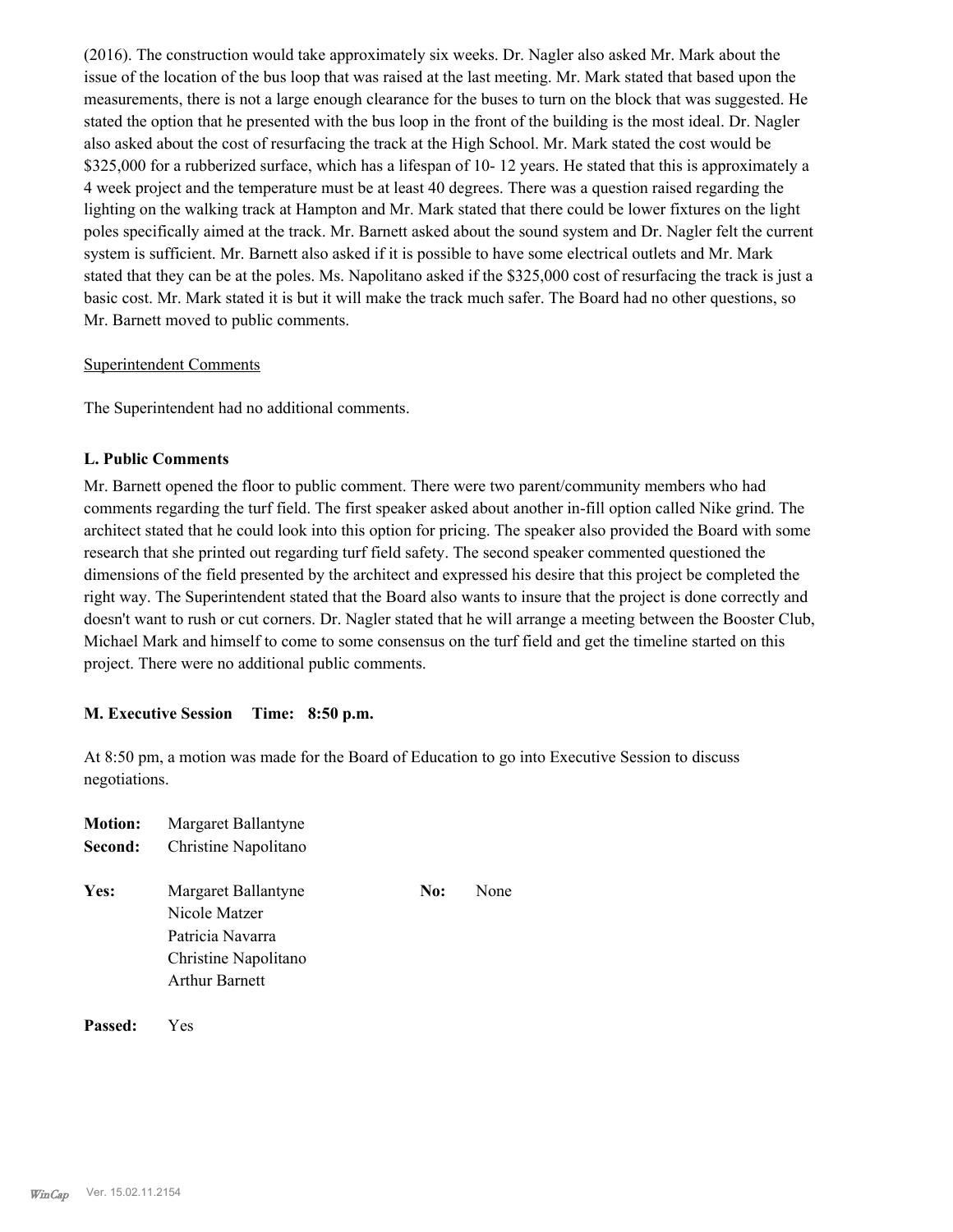(2016). The construction would take approximately six weeks. Dr. Nagler also asked Mr. Mark about the issue of the location of the bus loop that was raised at the last meeting. Mr. Mark stated that based upon the measurements, there is not a large enough clearance for the buses to turn on the block that was suggested. He stated the option that he presented with the bus loop in the front of the building is the most ideal. Dr. Nagler also asked about the cost of resurfacing the track at the High School. Mr. Mark stated the cost would be \$325,000 for a rubberized surface, which has a lifespan of 10- 12 years. He stated that this is approximately a 4 week project and the temperature must be at least 40 degrees. There was a question raised regarding the lighting on the walking track at Hampton and Mr. Mark stated that there could be lower fixtures on the light poles specifically aimed at the track. Mr. Barnett asked about the sound system and Dr. Nagler felt the current system is sufficient. Mr. Barnett also asked if it is possible to have some electrical outlets and Mr. Mark stated that they can be at the poles. Ms. Napolitano asked if the \$325,000 cost of resurfacing the track is just a basic cost. Mr. Mark stated it is but it will make the track much safer. The Board had no other questions, so Mr. Barnett moved to public comments.

#### Superintendent Comments

The Superintendent had no additional comments.

#### **L. Public Comments**

Mr. Barnett opened the floor to public comment. There were two parent/community members who had comments regarding the turf field. The first speaker asked about another in-fill option called Nike grind. The architect stated that he could look into this option for pricing. The speaker also provided the Board with some research that she printed out regarding turf field safety. The second speaker commented questioned the dimensions of the field presented by the architect and expressed his desire that this project be completed the right way. The Superintendent stated that the Board also wants to insure that the project is done correctly and doesn't want to rush or cut corners. Dr. Nagler stated that he will arrange a meeting between the Booster Club, Michael Mark and himself to come to some consensus on the turf field and get the timeline started on this project. There were no additional public comments.

#### **M. Executive Session Time: 8:50 p.m.**

At 8:50 pm, a motion was made for the Board of Education to go into Executive Session to discuss negotiations.

| <b>Motion:</b><br>Second: | Margaret Ballantyne<br>Christine Napolitano                                                               |     |      |
|---------------------------|-----------------------------------------------------------------------------------------------------------|-----|------|
| Yes:                      | Margaret Ballantyne<br>Nicole Matzer<br>Patricia Navarra<br>Christine Napolitano<br><b>Arthur Barnett</b> | No: | None |
|                           |                                                                                                           |     |      |